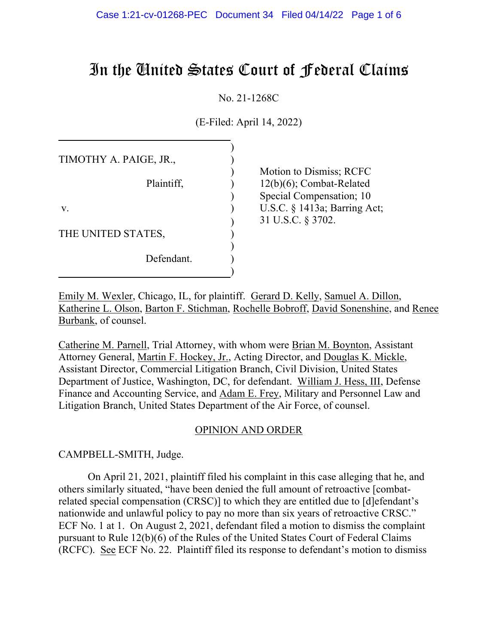# In the United States Court of Federal Claims

No. 21-1268C

(E-Filed: April 14, 2022)

| TIMOTHY A. PAIGE, JR., |                              |
|------------------------|------------------------------|
|                        | Motion to Dismiss; RCFC      |
| Plaintiff,             | $12(b)(6)$ ; Combat-Related  |
|                        | Special Compensation; 10     |
| V.                     | U.S.C. § 1413a; Barring Act; |
|                        | 31 U.S.C. § 3702.            |
| THE UNITED STATES,     |                              |
|                        |                              |
| Defendant.             |                              |
|                        |                              |

Emily M. Wexler, Chicago, IL, for plaintiff. Gerard D. Kelly, Samuel A. Dillon, Katherine L. Olson, Barton F. Stichman, Rochelle Bobroff, David Sonenshine, and Renee Burbank, of counsel.

Catherine M. Parnell, Trial Attorney, with whom were Brian M. Boynton, Assistant Attorney General, Martin F. Hockey, Jr., Acting Director, and Douglas K. Mickle, Assistant Director, Commercial Litigation Branch, Civil Division, United States Department of Justice, Washington, DC, for defendant. William J. Hess, III, Defense Finance and Accounting Service, and Adam E. Frey, Military and Personnel Law and Litigation Branch, United States Department of the Air Force, of counsel.

### OPINION AND ORDER

CAMPBELL-SMITH, Judge.

On April 21, 2021, plaintiff filed his complaint in this case alleging that he, and others similarly situated, "have been denied the full amount of retroactive [combatrelated special compensation (CRSC)] to which they are entitled due to [d]efendant's nationwide and unlawful policy to pay no more than six years of retroactive CRSC." ECF No. 1 at 1. On August 2, 2021, defendant filed a motion to dismiss the complaint pursuant to Rule 12(b)(6) of the Rules of the United States Court of Federal Claims (RCFC). See ECF No. 22. Plaintiff filed its response to defendant's motion to dismiss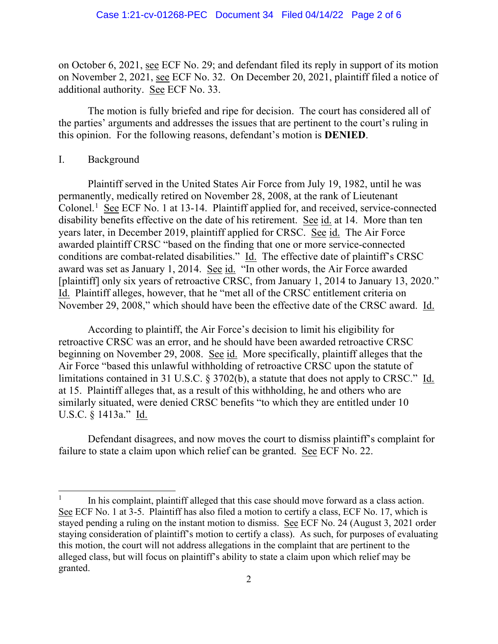on October 6, 2021, see ECF No. 29; and defendant filed its reply in support of its motion on November 2, 2021, see ECF No. 32. On December 20, 2021, plaintiff filed a notice of additional authority. See ECF No. 33.

The motion is fully briefed and ripe for decision. The court has considered all of the parties' arguments and addresses the issues that are pertinent to the court's ruling in this opinion. For the following reasons, defendant's motion is **DENIED**.

#### I. Background

Plaintiff served in the United States Air Force from July 19, 1982, until he was permanently, medically retired on November 28, 2008, at the rank of Lieutenant Colonel.<sup>1</sup> See ECF No. 1 at 13-14. Plaintiff applied for, and received, service-connected disability benefits effective on the date of his retirement. See id. at 14. More than ten years later, in December 2019, plaintiff applied for CRSC. See id. The Air Force awarded plaintiff CRSC "based on the finding that one or more service-connected conditions are combat-related disabilities." Id. The effective date of plaintiff's CRSC award was set as January 1, 2014. See id. "In other words, the Air Force awarded [plaintiff] only six years of retroactive CRSC, from January 1, 2014 to January 13, 2020." Id. Plaintiff alleges, however, that he "met all of the CRSC entitlement criteria on November 29, 2008," which should have been the effective date of the CRSC award. Id.

According to plaintiff, the Air Force's decision to limit his eligibility for retroactive CRSC was an error, and he should have been awarded retroactive CRSC beginning on November 29, 2008. See id. More specifically, plaintiff alleges that the Air Force "based this unlawful withholding of retroactive CRSC upon the statute of limitations contained in 31 U.S.C. § 3702(b), a statute that does not apply to CRSC." Id. at 15. Plaintiff alleges that, as a result of this withholding, he and others who are similarly situated, were denied CRSC benefits "to which they are entitled under 10 U.S.C. § 1413a." Id.

Defendant disagrees, and now moves the court to dismiss plaintiff's complaint for failure to state a claim upon which relief can be granted. See ECF No. 22.

 $1$  In his complaint, plaintiff alleged that this case should move forward as a class action. See ECF No. 1 at 3-5. Plaintiff has also filed a motion to certify a class, ECF No. 17, which is stayed pending a ruling on the instant motion to dismiss. See ECF No. 24 (August 3, 2021 order staying consideration of plaintiff's motion to certify a class). As such, for purposes of evaluating this motion, the court will not address allegations in the complaint that are pertinent to the alleged class, but will focus on plaintiff's ability to state a claim upon which relief may be granted.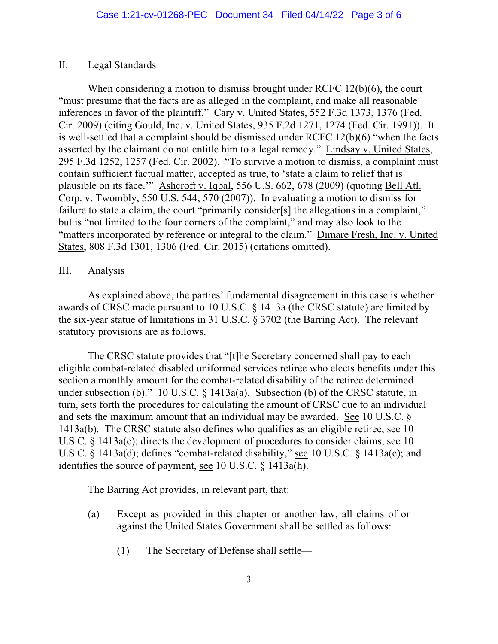### II. Legal Standards

When considering a motion to dismiss brought under RCFC 12(b)(6), the court "must presume that the facts are as alleged in the complaint, and make all reasonable inferences in favor of the plaintiff." Cary v. United States, 552 F.3d 1373, 1376 (Fed. Cir. 2009) (citing Gould, Inc. v. United States, 935 F.2d 1271, 1274 (Fed. Cir. 1991)). It is well-settled that a complaint should be dismissed under RCFC 12(b)(6) "when the facts asserted by the claimant do not entitle him to a legal remedy." Lindsay v. United States, 295 F.3d 1252, 1257 (Fed. Cir. 2002). "To survive a motion to dismiss, a complaint must contain sufficient factual matter, accepted as true, to 'state a claim to relief that is plausible on its face.'" Ashcroft v. Iqbal, 556 U.S. 662, 678 (2009) (quoting Bell Atl. Corp. v. Twombly, 550 U.S. 544, 570 (2007)). In evaluating a motion to dismiss for failure to state a claim, the court "primarily consider[s] the allegations in a complaint," but is "not limited to the four corners of the complaint," and may also look to the "matters incorporated by reference or integral to the claim." Dimare Fresh, Inc. v. United States, 808 F.3d 1301, 1306 (Fed. Cir. 2015) (citations omitted).

## III. Analysis

As explained above, the parties' fundamental disagreement in this case is whether awards of CRSC made pursuant to 10 U.S.C. § 1413a (the CRSC statute) are limited by the six-year statue of limitations in 31 U.S.C. § 3702 (the Barring Act). The relevant statutory provisions are as follows.

The CRSC statute provides that "[t]he Secretary concerned shall pay to each eligible combat-related disabled uniformed services retiree who elects benefits under this section a monthly amount for the combat-related disability of the retiree determined under subsection (b)." 10 U.S.C. § 1413a(a). Subsection (b) of the CRSC statute, in turn, sets forth the procedures for calculating the amount of CRSC due to an individual and sets the maximum amount that an individual may be awarded. See 10 U.S.C. § 1413a(b). The CRSC statute also defines who qualifies as an eligible retiree, see 10 U.S.C. § 1413a(c); directs the development of procedures to consider claims, see 10 U.S.C. § 1413a(d); defines "combat-related disability," see 10 U.S.C. § 1413a(e); and identifies the source of payment, see 10 U.S.C. § 1413a(h).

The Barring Act provides, in relevant part, that:

- (a) Except as provided in this chapter or another law, all claims of or against the United States Government shall be settled as follows:
	- (1) The Secretary of Defense shall settle—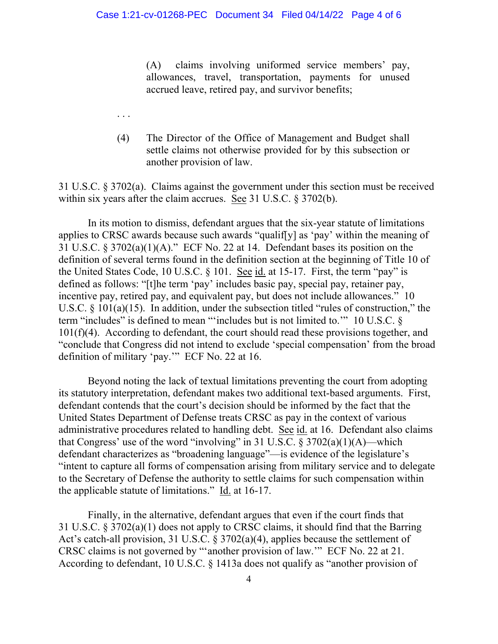(A) claims involving uniformed service members' pay, allowances, travel, transportation, payments for unused accrued leave, retired pay, and survivor benefits;

(4) The Director of the Office of Management and Budget shall settle claims not otherwise provided for by this subsection or another provision of law.

31 U.S.C. § 3702(a). Claims against the government under this section must be received within six years after the claim accrues. See 31 U.S.C. § 3702(b).

. . .

In its motion to dismiss, defendant argues that the six-year statute of limitations applies to CRSC awards because such awards "qualif[y] as 'pay' within the meaning of 31 U.S.C. § 3702(a)(1)(A)." ECF No. 22 at 14. Defendant bases its position on the definition of several terms found in the definition section at the beginning of Title 10 of the United States Code, 10 U.S.C. § 101. See id. at 15-17. First, the term "pay" is defined as follows: "[t]he term 'pay' includes basic pay, special pay, retainer pay, incentive pay, retired pay, and equivalent pay, but does not include allowances." 10 U.S.C. § 101(a)(15). In addition, under the subsection titled "rules of construction," the term "includes" is defined to mean "'includes but is not limited to.'" 10 U.S.C. §  $101(f)(4)$ . According to defendant, the court should read these provisions together, and "conclude that Congress did not intend to exclude 'special compensation' from the broad definition of military 'pay.'" ECF No. 22 at 16.

Beyond noting the lack of textual limitations preventing the court from adopting its statutory interpretation, defendant makes two additional text-based arguments. First, defendant contends that the court's decision should be informed by the fact that the United States Department of Defense treats CRSC as pay in the context of various administrative procedures related to handling debt. See id. at 16. Defendant also claims that Congress' use of the word "involving" in 31 U.S.C.  $\S 3702(a)(1)(A)$ —which defendant characterizes as "broadening language"—is evidence of the legislature's "intent to capture all forms of compensation arising from military service and to delegate to the Secretary of Defense the authority to settle claims for such compensation within the applicable statute of limitations." Id. at 16-17.

Finally, in the alternative, defendant argues that even if the court finds that 31 U.S.C. § 3702(a)(1) does not apply to CRSC claims, it should find that the Barring Act's catch-all provision, 31 U.S.C. § 3702(a)(4), applies because the settlement of CRSC claims is not governed by "'another provision of law.'" ECF No. 22 at 21. According to defendant, 10 U.S.C. § 1413a does not qualify as "another provision of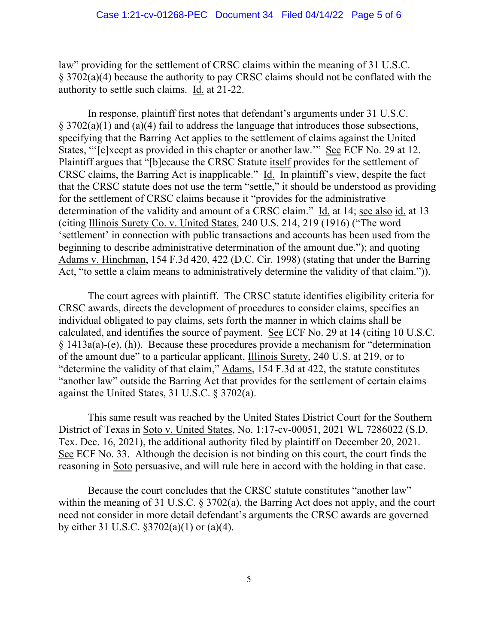law" providing for the settlement of CRSC claims within the meaning of 31 U.S.C. § 3702(a)(4) because the authority to pay CRSC claims should not be conflated with the authority to settle such claims. Id. at 21-22.

In response, plaintiff first notes that defendant's arguments under 31 U.S.C.  $§$  3702(a)(1) and (a)(4) fail to address the language that introduces those subsections, specifying that the Barring Act applies to the settlement of claims against the United States, "'[e]xcept as provided in this chapter or another law.'" See ECF No. 29 at 12. Plaintiff argues that "[b]ecause the CRSC Statute itself provides for the settlement of CRSC claims, the Barring Act is inapplicable." Id. In plaintiff's view, despite the fact that the CRSC statute does not use the term "settle," it should be understood as providing for the settlement of CRSC claims because it "provides for the administrative determination of the validity and amount of a CRSC claim." Id. at 14; see also id. at 13 (citing Illinois Surety Co. v. United States, 240 U.S. 214, 219 (1916) ("The word 'settlement' in connection with public transactions and accounts has been used from the beginning to describe administrative determination of the amount due."); and quoting Adams v. Hinchman, 154 F.3d 420, 422 (D.C. Cir. 1998) (stating that under the Barring Act, "to settle a claim means to administratively determine the validity of that claim.")).

The court agrees with plaintiff. The CRSC statute identifies eligibility criteria for CRSC awards, directs the development of procedures to consider claims, specifies an individual obligated to pay claims, sets forth the manner in which claims shall be calculated, and identifies the source of payment. See ECF No. 29 at 14 (citing 10 U.S.C. § 1413a(a)-(e), (h)). Because these procedures provide a mechanism for "determination of the amount due" to a particular applicant, Illinois Surety, 240 U.S. at 219, or to "determine the validity of that claim," Adams, 154 F.3d at 422, the statute constitutes "another law" outside the Barring Act that provides for the settlement of certain claims against the United States, 31 U.S.C. § 3702(a).

This same result was reached by the United States District Court for the Southern District of Texas in Soto v. United States, No. 1:17-cv-00051, 2021 WL 7286022 (S.D. Tex. Dec. 16, 2021), the additional authority filed by plaintiff on December 20, 2021. See ECF No. 33. Although the decision is not binding on this court, the court finds the reasoning in Soto persuasive, and will rule here in accord with the holding in that case.

Because the court concludes that the CRSC statute constitutes "another law" within the meaning of 31 U.S.C. § 3702(a), the Barring Act does not apply, and the court need not consider in more detail defendant's arguments the CRSC awards are governed by either 31 U.S.C. §3702(a)(1) or (a)(4).